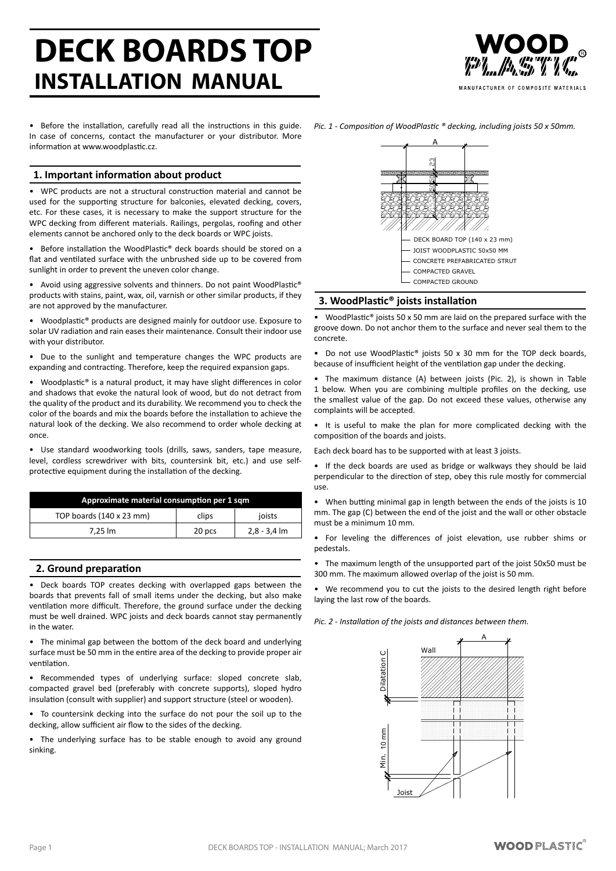# **DECK BOARDS TOP INSTALLATION MANUAL**



MANUFACTURER OF COMPOSITE MATERIALS

Before the installation, carefully read all the instructions in this guide. In case of concerns, contact the manufacturer or your distributor. More information at www.woodplastic.cz.

# **1. Important information about product**

WPC products are not a structural construction material and cannot be used for the supporting structure for balconies, elevated decking, covers, etc. For these cases, it is necessary to make the support structure for the WPC decking from different materials. Railings, pergolas, roofing and other elements cannot be anchored only to the deck boards or WPC joists.

Before installation the WoodPlastic® deck boards should be stored on a flat and ventilated surface with the unbrushed side up to be covered from sunlight in order to prevent the uneven color change.

• Avoid using aggressive solvents and thinners. Do not paint WoodPlastic® products with stains, paint, wax, oil, varnish or other similar products, if they are not approved by the manufacturer.

Woodplastic® products are designed mainly for outdoor use. Exposure to solar UV radiation and rain eases their maintenance. Consult their indoor use with your distributor.

• Due to the sunlight and temperature changes the WPC products are expanding and contracting. Therefore, keep the required expansion gaps.

Woodplastic® is a natural product, it may have slight differences in color and shadows that evoke the natural look of wood, but do not detract from the quality of the product and its durability. We recommend you to check the color of the boards and mix the boards before the installation to achieve the natural look of the decking. We also recommend to order whole decking at once.

Use standard woodworking tools (drills, saws, sanders, tape measure, level, cordless screwdriver with bits, countersink bit, etc.) and use selfprotective equipment during the installation of the decking.

| Approximate material consumption per 1 sqm |        |                |  |
|--------------------------------------------|--------|----------------|--|
| TOP boards (140 x 23 mm)                   | clips  | joists         |  |
| 7.25 lm                                    | 20 pcs | $2,8 - 3,4$ lm |  |

# **2. Ground preparation**

Deck boards TOP creates decking with overlapped gaps between the boards that prevents fall of small items under the decking, but also make ventilation more difficult. Therefore, the ground surface under the decking must be well drained. WPC joists and deck boards cannot stay permanently in the water.

• The minimal gap between the bottom of the deck board and underlying surface must be 50 mm in the entire area of the decking to provide proper air ventilation.

• Recommended types of underlying surface: sloped concrete slab, compacted gravel bed (preferably with concrete supports), sloped hydro insulation (consult with supplier) and support structure (steel or wooden).

To countersink decking into the surface do not pour the soil up to the decking, allow sufficient air flow to the sides of the decking.

• The underlying surface has to be stable enough to avoid any ground sinking.



# **3. WoodPlastic® joists installation**

• WoodPlastic® joists 50 x 50 mm are laid on the prepared surface with the groove down. Do not anchor them to the surface and never seal them to the concrete.

• Do not use WoodPlastic® joists 50 x 30 mm for the TOP deck boards, because of insufficient height of the ventilation gap under the decking.

• The maximum distance (A) between joists (Pic. 2), is shown in Table 1 below. When you are combining multiple profiles on the decking, use the smallest value of the gap. Do not exceed these values, otherwise any complaints will be accepted.

• It is useful to make the plan for more complicated decking with the composition of the boards and joists.

Each deck board has to be supported with at least 3 joists.

• If the deck boards are used as bridge or walkways they should be laid perpendicular to the direction of step, obey this rule mostly for commercial use.

• When butting minimal gap in length between the ends of the joists is 10 mm. The gap (C) between the end of the joist and the wall or other obstacle must be a minimum 10 mm.

• For leveling the differences of joist elevation, use rubber shims or pedestals.

The maximum length of the unsupported part of the joist 50x50 must be 300 mm. The maximum allowed overlap of the joist is 50 mm.

• We recommend you to cut the joists to the desired length right before laying the last row of the boards.

*Pic. 2 - Installation of the joists and distances between them.*



*Pic. 1 - Composition of WoodPlastic ® decking, including joists 50 x 50mm.*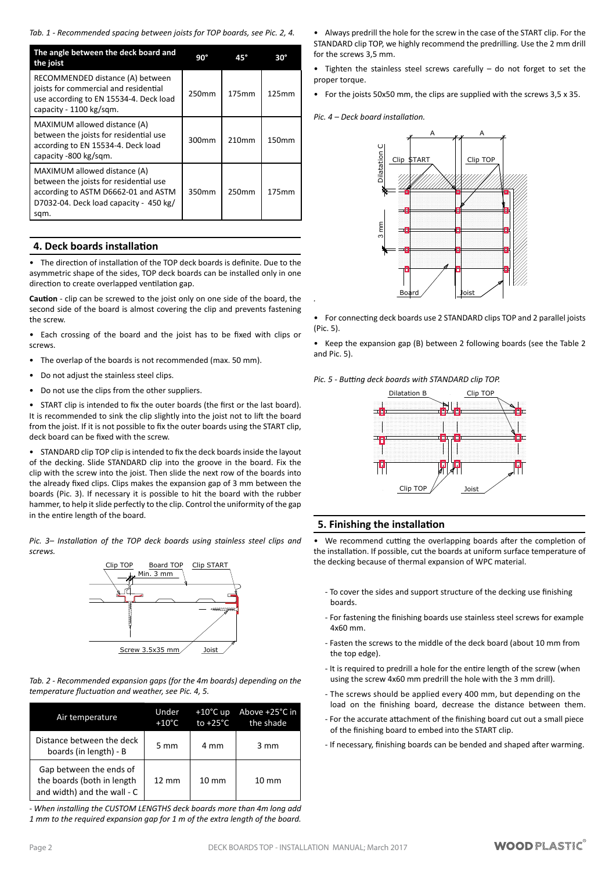*Tab. 1 - Recommended spacing between joists for TOP boards, see Pic. 2, 4.*

| The angle between the deck board and<br>the joist                                                                                                               | $90^\circ$ | 45°   | $30^\circ$ |
|-----------------------------------------------------------------------------------------------------------------------------------------------------------------|------------|-------|------------|
| RECOMMENDED distance (A) between<br>joists for commercial and residential<br>use according to EN 15534-4. Deck load<br>capacity - 1100 kg/sqm.                  | 250mm      | 175mm | 125mm      |
| MAXIMUM allowed distance (A)<br>between the joists for residential use<br>according to EN 15534-4. Deck load<br>capacity -800 kg/sqm.                           | 300mm      | 210mm | 150mm      |
| MAXIMUM allowed distance (A)<br>between the joists for residential use<br>according to ASTM D6662-01 and ASTM<br>D7032-04. Deck load capacity - 450 kg/<br>sqm. | 350mm      | 250mm | 175mm      |

#### **4. Deck boards installation**

The direction of installation of the TOP deck boards is definite. Due to the asymmetric shape of the sides, TOP deck boards can be installed only in one direction to create overlapped ventilation gap.

**Caution** - clip can be screwed to the joist only on one side of the board, the second side of the board is almost covering the clip and prevents fastening the screw.

Each crossing of the board and the joist has to be fixed with clips or screws.

- The overlap of the boards is not recommended (max. 50 mm).
- Do not adjust the stainless steel clips.
- • Do not use the clips from the other suppliers.

START clip is intended to fix the outer boards (the first or the last board). It is recommended to sink the clip slightly into the joist not to lift the board from the joist. If it is not possible to fix the outer boards using the START clip, deck board can be fixed with the screw.

STANDARD clip TOP clip is intended to fix the deck boards inside the layout of the decking. Slide STANDARD clip into the groove in the board. Fix the clip with the screw into the joist. Then slide the next row of the boards into the already fixed clips. Clips makes the expansion gap of 3 mm between the boards (Pic. 3). If necessary it is possible to hit the board with the rubber hammer, to help it slide perfectly to the clip. Control the uniformity of the gap in the entire length of the board.

*Pic. 3– Installation of the TOP deck boards using stainless steel clips and screws.*



*Tab. 2 - Recommended expansion gaps (for the 4m boards) depending on the temperature fluctuation and weather, see Pic. 4, 5.*

| Air temperature                                                                      | Under<br>$+10^{\circ}$ C | $+10^{\circ}$ C up<br>to $+25^{\circ}$ C | Above +25°C in<br>the shade |
|--------------------------------------------------------------------------------------|--------------------------|------------------------------------------|-----------------------------|
| Distance between the deck<br>boards (in length) - B                                  | 5 mm                     | 4 mm                                     | $3 \text{ mm}$              |
| Gap between the ends of<br>the boards (both in length<br>and width) and the wall - C | $12 \text{ mm}$          | $10 \, \text{mm}$                        | $10 \text{ mm}$             |

*- When installing the CUSTOM LENGTHS deck boards more than 4m long add 1 mm to the required expansion gap for 1 m of the extra length of the board.*

• Always predrill the hole for the screw in the case of the START clip. For the STANDARD clip TOP, we highly recommend the predrilling. Use the 2 mm drill for the screws 3,5 mm.

Tighten the stainless steel screws carefully  $-$  do not forget to set the proper torque.

• For the joists 50x50 mm, the clips are supplied with the screws 3,5 x 35.

*Pic. 4 – Deck board installation.*

*.*



• For connecting deck boards use 2 STANDARD clips TOP and 2 parallel joists (Pic. 5).

• Keep the expansion gap (B) between 2 following boards (see the Table 2 and Pic. 5).

*Pic. 5 - Butting deck boards with STANDARD clip TOP.*



#### **5. Finishing the installation**

• We recommend cutting the overlapping boards after the completion of the installation. If possible, cut the boards at uniform surface temperature of the decking because of thermal expansion of WPC material.

- To cover the sides and support structure of the decking use finishing boards.
- For fastening the finishing boards use stainless steel screws for example 4x60 mm.
- Fasten the screws to the middle of the deck board (about 10 mm from the top edge).
- It is required to predrill a hole for the entire length of the screw (when using the screw 4x60 mm predrill the hole with the 3 mm drill).
- The screws should be applied every 400 mm, but depending on the load on the finishing board, decrease the distance between them.
- For the accurate attachment of the finishing board cut out a small piece of the finishing board to embed into the START clip.
- If necessary, finishing boards can be bended and shaped after warming.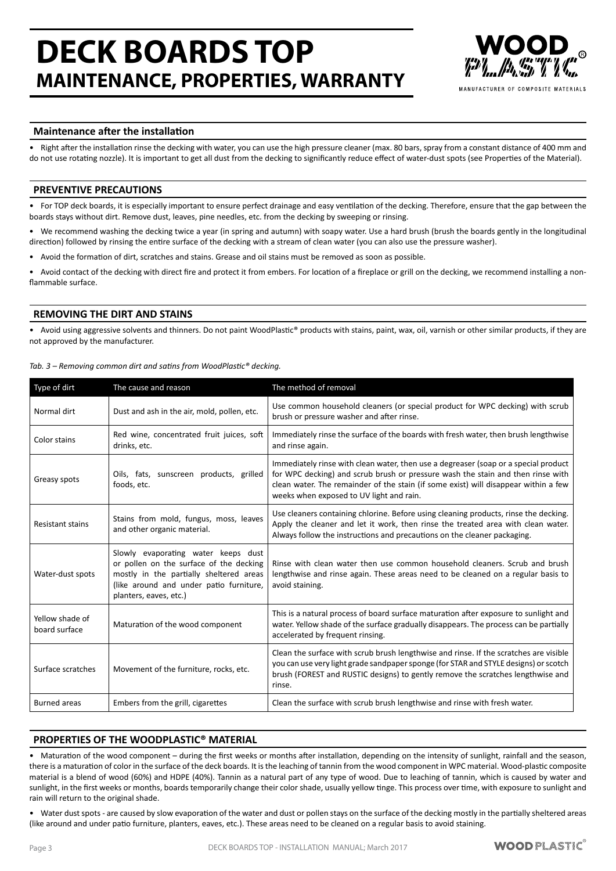# **DECK BOARDS TOP MAINTENANCE, PROPERTIES, WARRANTY**



MANIIFACTURER OF COMPOSITE MATERIALS

### **Maintenance after the installation**

Right after the installation rinse the decking with water, you can use the high pressure cleaner (max. 80 bars, spray from a constant distance of 400 mm and do not use rotating nozzle). It is important to get all dust from the decking to significantly reduce effect of water-dust spots (see Properties of the Material).

### **PREVENTIVE PRECAUTIONS**

For TOP deck boards, it is especially important to ensure perfect drainage and easy ventilation of the decking. Therefore, ensure that the gap between the boards stays without dirt. Remove dust, leaves, pine needles, etc. from the decking by sweeping or rinsing.

We recommend washing the decking twice a year (in spring and autumn) with soapy water. Use a hard brush (brush the boards gently in the longitudinal direction) followed by rinsing the entire surface of the decking with a stream of clean water (you can also use the pressure washer).

• Avoid the formation of dirt, scratches and stains. Grease and oil stains must be removed as soon as possible.

Avoid contact of the decking with direct fire and protect it from embers. For location of a fireplace or grill on the decking, we recommend installing a nonflammable surface.

#### **REMOVING THE DIRT AND STAINS**

Avoid using aggressive solvents and thinners. Do not paint WoodPlastic® products with stains, paint, wax, oil, varnish or other similar products, if they are not approved by the manufacturer.

| Tab. 3 – Removing common dirt and satins from WoodPlastic® decking. |  |
|---------------------------------------------------------------------|--|
|                                                                     |  |

| Type of dirt                     | The cause and reason                                                                                                                                                                           | The method of removal                                                                                                                                                                                                                                                                                     |
|----------------------------------|------------------------------------------------------------------------------------------------------------------------------------------------------------------------------------------------|-----------------------------------------------------------------------------------------------------------------------------------------------------------------------------------------------------------------------------------------------------------------------------------------------------------|
| Normal dirt                      | Dust and ash in the air, mold, pollen, etc.                                                                                                                                                    | Use common household cleaners (or special product for WPC decking) with scrub<br>brush or pressure washer and after rinse.                                                                                                                                                                                |
| Color stains                     | Red wine, concentrated fruit juices, soft<br>drinks, etc.                                                                                                                                      | Immediately rinse the surface of the boards with fresh water, then brush lengthwise<br>and rinse again.                                                                                                                                                                                                   |
| Greasy spots                     | Oils, fats, sunscreen products, grilled<br>foods, etc.                                                                                                                                         | Immediately rinse with clean water, then use a degreaser (soap or a special product<br>for WPC decking) and scrub brush or pressure wash the stain and then rinse with<br>clean water. The remainder of the stain (if some exist) will disappear within a few<br>weeks when exposed to UV light and rain. |
| <b>Resistant stains</b>          | Stains from mold, fungus, moss, leaves<br>and other organic material.                                                                                                                          | Use cleaners containing chlorine. Before using cleaning products, rinse the decking.<br>Apply the cleaner and let it work, then rinse the treated area with clean water.<br>Always follow the instructions and precautions on the cleaner packaging.                                                      |
| Water-dust spots                 | Slowly evaporating water keeps dust<br>or pollen on the surface of the decking<br>mostly in the partially sheltered areas<br>(like around and under patio furniture,<br>planters, eaves, etc.) | Rinse with clean water then use common household cleaners. Scrub and brush<br>lengthwise and rinse again. These areas need to be cleaned on a regular basis to<br>avoid staining.                                                                                                                         |
| Yellow shade of<br>board surface | Maturation of the wood component                                                                                                                                                               | This is a natural process of board surface maturation after exposure to sunlight and<br>water. Yellow shade of the surface gradually disappears. The process can be partially<br>accelerated by frequent rinsing.                                                                                         |
| Surface scratches                | Movement of the furniture, rocks, etc.                                                                                                                                                         | Clean the surface with scrub brush lengthwise and rinse. If the scratches are visible<br>you can use very light grade sandpaper sponge (for STAR and STYLE designs) or scotch<br>brush (FOREST and RUSTIC designs) to gently remove the scratches lengthwise and<br>rinse.                                |
| <b>Burned</b> areas              | Embers from the grill, cigarettes                                                                                                                                                              | Clean the surface with scrub brush lengthwise and rinse with fresh water.                                                                                                                                                                                                                                 |

## **PROPERTIES OF THE WOODPLASTIC® MATERIAL**

Maturation of the wood component – during the first weeks or months after installation, depending on the intensity of sunlight, rainfall and the season, there is a maturation of color in the surface of the deck boards. It isthe leaching of tannin from the wood component in WPC material. Wood-plastic composite material is a blend of wood (60%) and HDPE (40%). Tannin as a natural part of any type of wood. Due to leaching of tannin, which is caused by water and sunlight, in the first weeks or months, boards temporarily change their color shade, usually yellow tinge. This process over time, with exposure to sunlight and rain will return to the original shade.

Water dust spots - are caused by slow evaporation of the water and dust or pollen stays on the surface of the decking mostly in the partially sheltered areas (like around and under patio furniture, planters, eaves, etc.). These areas need to be cleaned on a regular basis to avoid staining.